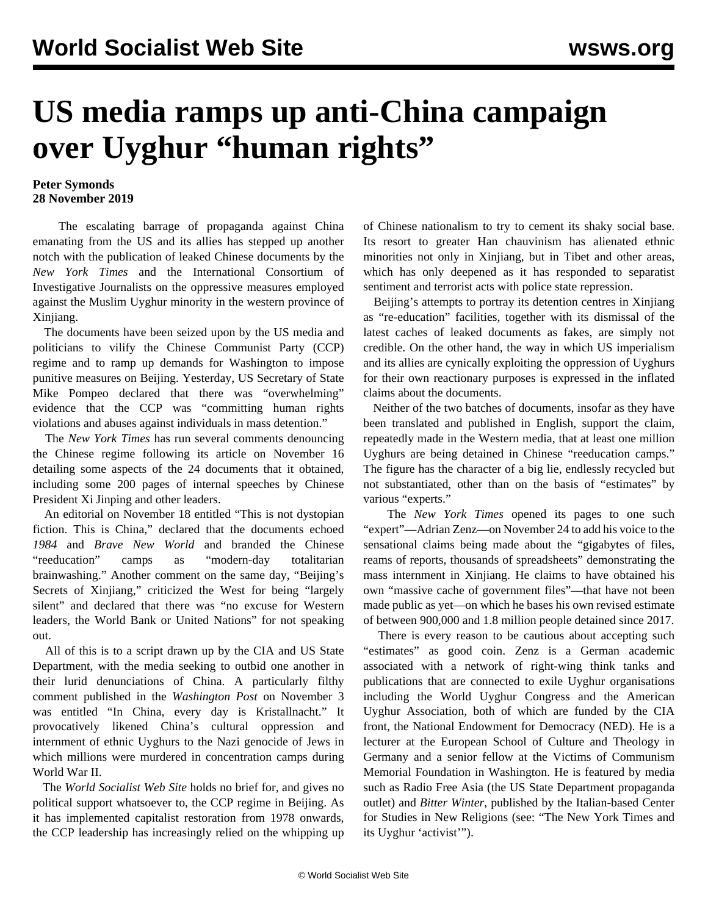## **US media ramps up anti-China campaign over Uyghur "human rights"**

## **Peter Symonds 28 November 2019**

 The escalating barrage of propaganda against China emanating from the US and its allies has stepped up another notch with the publication of leaked Chinese documents by the *New York Times* and the International Consortium of Investigative Journalists on the oppressive measures employed against the Muslim Uyghur minority in the western province of Xinjiang.

 The documents have been seized upon by the US media and politicians to vilify the Chinese Communist Party (CCP) regime and to ramp up demands for Washington to impose punitive measures on Beijing. Yesterday, US Secretary of State Mike Pompeo declared that there was "overwhelming" evidence that the CCP was "committing human rights violations and abuses against individuals in mass detention."

 The *New York Times* has run several comments denouncing the Chinese regime following its article on November 16 detailing some aspects of the 24 documents that it obtained, including some 200 pages of internal speeches by Chinese President Xi Jinping and other leaders.

 An editorial on November 18 entitled "This is not dystopian fiction. This is China," declared that the documents echoed *1984* and *Brave New World* and branded the Chinese "reeducation" camps as "modern-day totalitarian brainwashing." Another comment on the same day, "Beijing's Secrets of Xinjiang," criticized the West for being "largely silent" and declared that there was "no excuse for Western leaders, the World Bank or United Nations" for not speaking out.

 All of this is to a script drawn up by the CIA and US State Department, with the media seeking to outbid one another in their lurid denunciations of China. A particularly filthy comment published in the *Washington Post* on November 3 was entitled "In China, every day is Kristallnacht." It provocatively likened China's cultural oppression and internment of ethnic Uyghurs to the Nazi genocide of Jews in which millions were murdered in concentration camps during World War II.

 The *World Socialist Web Site* holds no brief for, and gives no political support whatsoever to, the CCP regime in Beijing. As it has implemented capitalist restoration from 1978 onwards, the CCP leadership has increasingly relied on the whipping up of Chinese nationalism to try to cement its shaky social base. Its resort to greater Han chauvinism has alienated ethnic minorities not only in Xinjiang, but in Tibet and other areas, which has only deepened as it has responded to separatist sentiment and terrorist acts with police state repression.

 Beijing's attempts to portray its detention centres in Xinjiang as "re-education" facilities, together with its dismissal of the latest caches of leaked documents as fakes, are simply not credible. On the other hand, the way in which US imperialism and its allies are cynically exploiting the oppression of Uyghurs for their own reactionary purposes is expressed in the inflated claims about the documents.

 Neither of the two batches of documents, insofar as they have been translated and published in English, support the claim, repeatedly made in the Western media, that at least one million Uyghurs are being detained in Chinese "reeducation camps." The figure has the character of a big lie, endlessly recycled but not substantiated, other than on the basis of "estimates" by various "experts."

 The *New York Times* opened its pages to one such "expert"—Adrian Zenz—on November 24 to add his voice to the sensational claims being made about the "gigabytes of files, reams of reports, thousands of spreadsheets" demonstrating the mass internment in Xinjiang. He claims to have obtained his own "massive cache of government files"—that have not been made public as yet—on which he bases his own revised estimate of between 900,000 and 1.8 million people detained since 2017.

 There is every reason to be cautious about accepting such "estimates" as good coin. Zenz is a German academic associated with a network of right-wing think tanks and publications that are connected to exile Uyghur organisations including the World Uyghur Congress and the American Uyghur Association, both of which are funded by the CIA front, the National Endowment for Democracy (NED). He is a lecturer at the European School of Culture and Theology in Germany and a senior fellow at the Victims of Communism Memorial Foundation in Washington. He is featured by media such as Radio Free Asia (the US State Department propaganda outlet) and *Bitter Winter*, published by the Italian-based Center for Studies in New Religions (see: "[The New York Times and](/en/articles/2019/05/09/uygh-m09.html) [its Uyghur 'activist'"](/en/articles/2019/05/09/uygh-m09.html)).